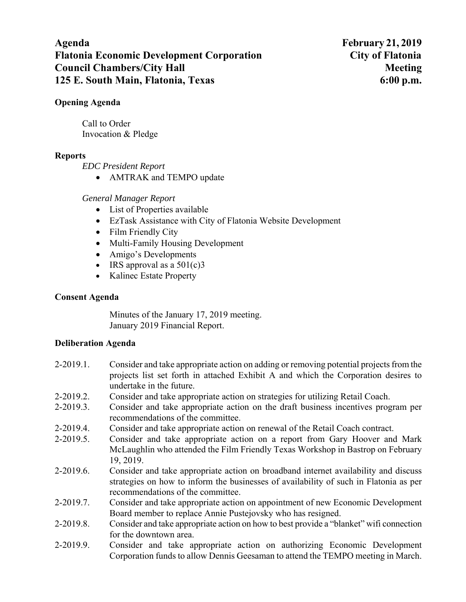# **Agenda February 21, 2019 Flatonia Economic Development Corporation City of Flatonia Council Chambers/City Hall Meeting Meeting Meeting Meeting Meeting Meeting Meeting Meeting Meeting Meeting Meeting Meeting Meeting Meeting Meeting Meeting Meeting Meeting Meeting Meeting Meeting Meeting Meeting Meeting Me 125 E. South Main, Flatonia, Texas 6:00 p.m.**

### **Opening Agenda**

Call to Order Invocation & Pledge

# **Reports**

*EDC President Report* 

• AMTRAK and TEMPO update

# *General Manager Report*

- List of Properties available
- EzTask Assistance with City of Flatonia Website Development
- Film Friendly City
- Multi-Family Housing Development
- Amigo's Developments
- $\bullet$  IRS approval as a 501(c)3
- Kalinec Estate Property

# **Consent Agenda**

Minutes of the January 17, 2019 meeting. January 2019 Financial Report.

### **Deliberation Agenda**

- 2-2019.1. Consider and take appropriate action on adding or removing potential projects from the projects list set forth in attached Exhibit A and which the Corporation desires to undertake in the future.
- 2-2019.2. Consider and take appropriate action on strategies for utilizing Retail Coach.
- 2-2019.3. Consider and take appropriate action on the draft business incentives program per recommendations of the committee.
- 2-2019.4. Consider and take appropriate action on renewal of the Retail Coach contract.
- 2-2019.5. Consider and take appropriate action on a report from Gary Hoover and Mark McLaughlin who attended the Film Friendly Texas Workshop in Bastrop on February 19, 2019.
- 2-2019.6. Consider and take appropriate action on broadband internet availability and discuss strategies on how to inform the businesses of availability of such in Flatonia as per recommendations of the committee.
- 2-2019.7. Consider and take appropriate action on appointment of new Economic Development Board member to replace Annie Pustejovsky who has resigned.
- 2-2019.8. Consider and take appropriate action on how to best provide a "blanket" wifi connection for the downtown area.
- 2-2019.9. Consider and take appropriate action on authorizing Economic Development Corporation funds to allow Dennis Geesaman to attend the TEMPO meeting in March.